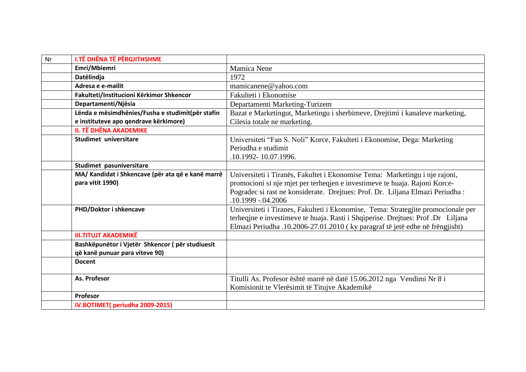| Nr | <b>I.TË DHËNA TË PËRGJITHSHME</b>                 |                                                                                   |
|----|---------------------------------------------------|-----------------------------------------------------------------------------------|
|    | Emri/Mbiemri                                      | <b>Mamica Nene</b>                                                                |
|    | Datëlindja                                        | 1972                                                                              |
|    | Adresa e e-mailit                                 | mamicanene@yahoo.com                                                              |
|    | Fakulteti/Institucioni Kërkimor Shkencor          | Fakulteti i Ekonomise                                                             |
|    | Departamenti/Njësia                               | Departamenti Marketing-Turizem                                                    |
|    | Lënda e mësimdhënies/Fusha e studimit(për stafin  | Bazat e Marketingut, Marketingu i sherbimeve, Drejtimi i kanaleve marketing,      |
|    | e instituteve apo qendrave kërkimore)             | Cilesia totale ne marketing.                                                      |
|    | <b>II. TË DHËNA AKADEMIKE</b>                     |                                                                                   |
|    | Studimet universitare                             | Universiteti "Fan S. Noli" Korce, Fakulteti i Ekonomise, Dega: Marketing          |
|    |                                                   | Periudha e studimit                                                               |
|    |                                                   | .10.1992-10.07.1996.                                                              |
|    | Studimet pasuniversitare                          |                                                                                   |
|    | MA/ Kandidat i Shkencave (për ata që e kanë marrë | Universiteti i Tiranës, Fakultet i Ekonomise Tema: Marketingu i nje rajoni,       |
|    | para vitit 1990)                                  | promocioni si nje mjet per terheqjen e investimeve te huaja. Rajoni Korce-        |
|    |                                                   | Pogradec si rast ne konsiderate. Drejtues: Prof. Dr. Liljana Elmazi Periudha :    |
|    |                                                   | .10.1999 -.04.2006                                                                |
|    | PHD/Doktor i shkencave                            | Universiteti i Tiranes, Fakulteti i Ekonomise, Tema: Strategjite promocionale per |
|    |                                                   | terheqine e investimeve te huaja. Rasti i Shqiperise. Drejtues: Prof.Dr Liljana   |
|    |                                                   | Elmazi Periudha .10.2006-27.01.2010 (ky paragraf të jetë edhe në frëngjisht)      |
|    | <b>III.TITUJT AKADEMIKË</b>                       |                                                                                   |
|    | Bashkëpunëtor i Vjetër Shkencor (për studiuesit   |                                                                                   |
|    | që kanë punuar para viteve 90)                    |                                                                                   |
|    | <b>Docent</b>                                     |                                                                                   |
|    |                                                   |                                                                                   |
|    | As. Profesor                                      | Titulli As. Profesor është marrë në datë 15.06.2012 nga Vendimi Nr 8 i            |
|    |                                                   | Komisionit te Vlerësimit të Titujve Akademikë                                     |
|    | Profesor                                          |                                                                                   |
|    | IV.BOTIMET(periudha 2009-2015)                    |                                                                                   |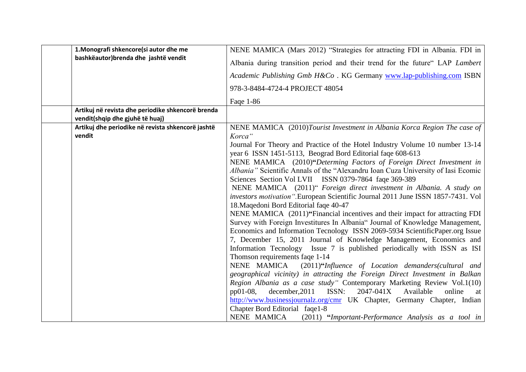| 1. Monografi shkencore(si autor dhe me                                               | NENE MAMICA (Mars 2012) "Strategies for attracting FDI in Albania. FDI in                                                                                                                                                       |
|--------------------------------------------------------------------------------------|---------------------------------------------------------------------------------------------------------------------------------------------------------------------------------------------------------------------------------|
| bashkëautor) brenda dhe jashtë vendit                                                | Albania during transition period and their trend for the future" LAP Lambert                                                                                                                                                    |
|                                                                                      | Academic Publishing Gmb H&Co. KG Germany www.lap-publishing.com ISBN                                                                                                                                                            |
|                                                                                      | 978-3-8484-4724-4 PROJECT 48054                                                                                                                                                                                                 |
|                                                                                      | Faqe 1-86                                                                                                                                                                                                                       |
| Artikuj në revista dhe periodike shkencorë brenda<br>vendit(shqip dhe gjuhë të huaj) |                                                                                                                                                                                                                                 |
| Artikuj dhe periodike në revista shkencorë jashtë<br>vendit                          | NENE MAMICA (2010)Tourist Investment in Albania Korca Region The case of<br>Korca"                                                                                                                                              |
|                                                                                      | Journal For Theory and Practice of the Hotel Industry Volume 10 number 13-14<br>year 6 ISSN 1451-5113, Beograd Bord Editorial fage 608-613                                                                                      |
|                                                                                      | NENE MAMICA (2010)"Determing Factors of Foreign Direct Investment in<br>Albania" Scientific Annals of the "Alexandru Ioan Cuza University of Iasi Ecomic<br>Sciences Section Vol LVII ISSN 0379-7864 faqe 369-389               |
|                                                                                      | NENE MAMICA (2011)" Foreign direct investment in Albania. A study on<br>investors motivation ".European Scientific Journal 2011 June ISSN 1857-7431. Vol<br>18. Magedoni Bord Editorial fage 40-47                              |
|                                                                                      | NENE MAMICA (2011)"Financial incentives and their impact for attracting FDI<br>Survey with Foreign Investitures In Albania" Journal of Knowledge Management,                                                                    |
|                                                                                      | Economics and Information Tecnology ISSN 2069-5934 ScientificPaper.org Issue<br>7, December 15, 2011 Journal of Knowledge Management, Economics and<br>Information Tecnology Issue 7 is published periodically with ISSN as ISI |
|                                                                                      | Thomson requirements faqe 1-14                                                                                                                                                                                                  |
|                                                                                      | NENE MAMICA (2011)"Influence of Location demanders(cultural and                                                                                                                                                                 |
|                                                                                      | geographical vicinity) in attracting the Foreign Direct Investment in Balkan<br>Region Albania as a case study" Contemporary Marketing Review Vol.1(10)                                                                         |
|                                                                                      | december, 2011<br>ISSN:<br>2047-041X<br>pp01-08,<br>Available<br>online<br>at                                                                                                                                                   |
|                                                                                      | http://www.businessjournalz.org/cmr UK Chapter, Germany Chapter, Indian                                                                                                                                                         |
|                                                                                      | Chapter Bord Editorial faqe1-8<br>NENE MAMICA<br>(2011) "Important-Performance Analysis as a tool in                                                                                                                            |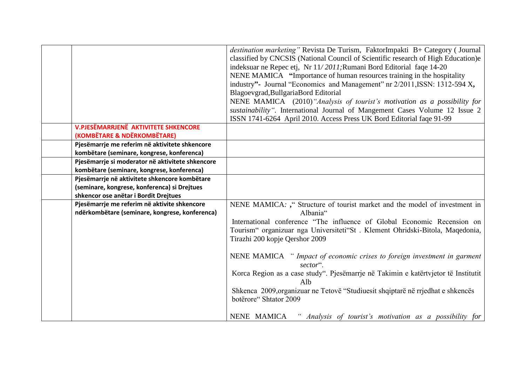|                                                                                                | destination marketing" Revista De Turism, FaktorImpakti B+ Category (Journal<br>classified by CNCSIS (National Council of Scientific research of High Education)e<br>indeksuar ne Repec etj, Nr 11/2011; Rumani Bord Editorial faqe 14-20<br>NENE MAMICA "Importance of human resources training in the hospitality<br>industry"- Journal "Economics and Management" nr 2/2011, ISSN: 1312-594 X,<br>Blagoevgrad, Bullgaria Bord Editorial |
|------------------------------------------------------------------------------------------------|--------------------------------------------------------------------------------------------------------------------------------------------------------------------------------------------------------------------------------------------------------------------------------------------------------------------------------------------------------------------------------------------------------------------------------------------|
|                                                                                                | NENE MAMICA (2010) "Analysis of tourist's motivation as a possibility for<br>sustainability". International Journal of Mangement Cases Volume 12 Issue 2                                                                                                                                                                                                                                                                                   |
|                                                                                                | ISSN 1741-6264 April 2010. Access Press UK Bord Editorial faqe 91-99                                                                                                                                                                                                                                                                                                                                                                       |
| <b>V.PJESËMARRJENË AKTIVITETE SHKENCORE</b><br>(KOMBËTARE & NDËRKOMBËTARE)                     |                                                                                                                                                                                                                                                                                                                                                                                                                                            |
| Pjesëmarrje me referim në aktivitete shkencore                                                 |                                                                                                                                                                                                                                                                                                                                                                                                                                            |
| kombëtare (seminare, kongrese, konferenca)<br>Pjesëmarrje si moderator në aktivitete shkencore |                                                                                                                                                                                                                                                                                                                                                                                                                                            |
| kombëtare (seminare, kongrese, konferenca)                                                     |                                                                                                                                                                                                                                                                                                                                                                                                                                            |
| Pjesëmarrje në aktivitete shkencore kombëtare                                                  |                                                                                                                                                                                                                                                                                                                                                                                                                                            |
| (seminare, kongrese, konferenca) si Drejtues                                                   |                                                                                                                                                                                                                                                                                                                                                                                                                                            |
| shkencor ose anëtar i Bordit Drejtues                                                          |                                                                                                                                                                                                                                                                                                                                                                                                                                            |
| Pjesëmarrje me referim në aktivite shkencore<br>ndërkombëtare (seminare, kongrese, konferenca) | NENE MAMICA: ," Structure of tourist market and the model of investment in<br>Albania"                                                                                                                                                                                                                                                                                                                                                     |
|                                                                                                | International conference "The influence of Global Economic Recension on<br>Tourism" organizuar nga Universiteti"St. Klement Ohridski-Bitola, Maqedonia,<br>Tirazhi 200 kopje Qershor 2009                                                                                                                                                                                                                                                  |
|                                                                                                | NENE MAMICA " Impact of economic crises to foreign investment in garment<br>sector".                                                                                                                                                                                                                                                                                                                                                       |
|                                                                                                | Korca Region as a case study". Pjesëmarrje në Takimin e katërtvjetor të Institutit<br>Alb                                                                                                                                                                                                                                                                                                                                                  |
|                                                                                                | Shkenca 2009, organizuar ne Tetovë "Studiuesit shqiptarë në rrjedhat e shkencës<br>botërore" Shtator 2009                                                                                                                                                                                                                                                                                                                                  |
|                                                                                                | NENE MAMICA<br>Analysis of tourist's motivation as a possibility for                                                                                                                                                                                                                                                                                                                                                                       |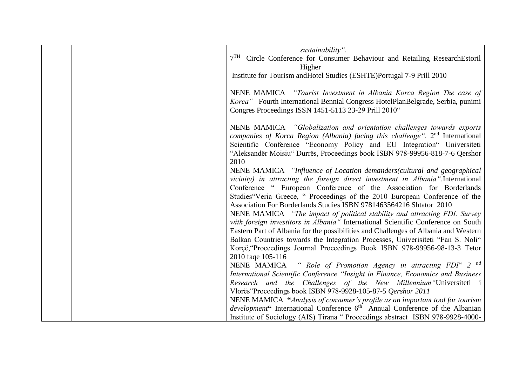|  | sustainability".                                                                        |
|--|-----------------------------------------------------------------------------------------|
|  | 7 <sup>TH</sup> Circle Conference for Consumer Behaviour and Retailing ResearchEstoril  |
|  | Higher                                                                                  |
|  | Institute for Tourism and Hotel Studies (ESHTE) Portugal 7-9 Prill 2010                 |
|  |                                                                                         |
|  | NENE MAMICA "Tourist Investment in Albania Korca Region The case of                     |
|  | Korca" Fourth International Bennial Congress HotelPlanBelgrade, Serbia, punimi          |
|  | Congres Proceedings ISSN 1451-5113 23-29 Prill 2010"                                    |
|  |                                                                                         |
|  | NENE MAMICA "Globalization and orientation challenges towards exports                   |
|  | companies of Korca Region (Albania) facing this challenge". $2nd$ International         |
|  | Scientific Conference "Economy Policy and EU Integration" Universiteti                  |
|  | "Aleksandër Moisiu" Durrës, Proceedings book ISBN 978-99956-818-7-6 Qershor             |
|  | 2010                                                                                    |
|  | NENE MAMICA "Influence of Location demanders(cultural and geographical                  |
|  | vicinity) in attracting the foreign direct investment in Albania". International        |
|  | Conference " European Conference of the Association for Borderlands                     |
|  | Studies "Veria Greece, " Proceedings of the 2010 European Conference of the             |
|  | Association For Borderlands Studies ISBN 9781463564216 Shtator 2010                     |
|  | NENE MAMICA "The impact of political stability and attracting FDI. Survey               |
|  | with foreign investitors in Albania" International Scientific Conference on South       |
|  | Eastern Part of Albania for the possibilities and Challenges of Albania and Western     |
|  | Balkan Countries towards the Integration Processes, Univerisiteti "Fan S. Noli"         |
|  | Korçë, "Proceedings Journal Proceedings Book ISBN 978-99956-98-13-3 Tetor               |
|  | 2010 faqe 105-116                                                                       |
|  | NENE MAMICA " Role of Promotion Agency in attracting FDI" 2 <sup>nd</sup>               |
|  | International Scientific Conference "Insight in Finance, Economics and Business         |
|  | Research and the Challenges of the New Millennium Universiteti i                        |
|  | Vlorës "Proceedings book ISBN 978-9928-105-87-5 Qershor 2011                            |
|  | NENE MAMICA "Analysis of consumer's profile as an important tool for tourism            |
|  | development" International Conference 6 <sup>th</sup> Annual Conference of the Albanian |
|  | Institute of Sociology (AIS) Tirana " Proceedings abstract ISBN 978-9928-4000-          |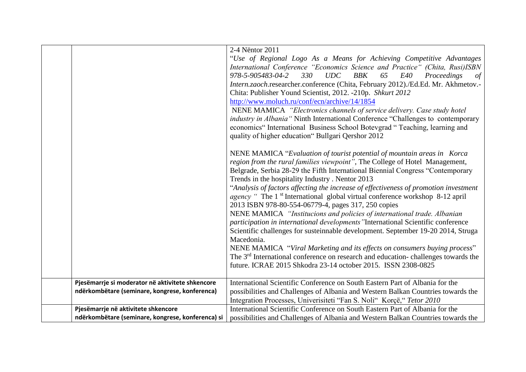|                                                   | 2-4 Nëntor 2011                                                                                 |
|---------------------------------------------------|-------------------------------------------------------------------------------------------------|
|                                                   | "Use of Regional Logo As a Means for Achieving Competitive Advantages                           |
|                                                   | International Conference "Economics Science and Practice" (Chita, Rusi)ISBN                     |
|                                                   | 978-5-905483-04-2<br>330<br>UDC<br><b>BBK</b><br>65<br>E40<br>Proceedings<br>$\sigma f$         |
|                                                   | Intern.zaoch.researcher.conference (Chita, February 2012)./Ed.Ed. Mr. Akhmetov.-                |
|                                                   | Chita: Publisher Yound Scientist, 2012. -210p. Shkurt 2012                                      |
|                                                   | http://www.moluch.ru/conf/ecn/archive/14/1854                                                   |
|                                                   | NENE MAMICA "Electronics channels of service delivery. Case study hotel                         |
|                                                   | <i>industry in Albania</i> "Ninth International Conference "Challenges to contemporary          |
|                                                   | economics" International Business School Botevgrad " Teaching, learning and                     |
|                                                   | quality of higher education" Bullgari Qershor 2012                                              |
|                                                   |                                                                                                 |
|                                                   | NENE MAMICA "Evaluation of tourist potential of mountain areas in Korca                         |
|                                                   | region from the rural families viewpoint", The College of Hotel Management,                     |
|                                                   | Belgrade, Serbia 28-29 the Fifth International Biennial Congress "Contemporary                  |
|                                                   | Trends in the hospitality Industry. Nentor 2013                                                 |
|                                                   | "Analysis of factors affecting the increase of effectiveness of promotion investment            |
|                                                   | <i>agency</i> " The 1 <sup>st</sup> International global virtual conference workshop 8-12 april |
|                                                   | 2013 ISBN 978-80-554-06779-4, pages 317, 250 copies                                             |
|                                                   | NENE MAMICA "Institucions and policies of international trade. Albanian                         |
|                                                   | participation in international developments "International Scientific conference                |
|                                                   | Scientific challenges for susteinnable development. September 19-20 2014, Struga                |
|                                                   | Macedonia.                                                                                      |
|                                                   | NENE MAMICA "Viral Marketing and its effects on consumers buying process"                       |
|                                                   | The 3 <sup>rd</sup> International conference on research and education-challenges towards the   |
|                                                   | future. ICRAE 2015 Shkodra 23-14 october 2015. ISSN 2308-0825                                   |
|                                                   |                                                                                                 |
| Pjesëmarrje si moderator në aktivitete shkencore  | International Scientific Conference on South Eastern Part of Albania for the                    |
| ndërkombëtare (seminare, kongrese, konferenca)    | possibilities and Challenges of Albania and Western Balkan Countries towards the                |
|                                                   | Integration Processes, Univerisiteti "Fan S. Noli" Korçë, "Tetor 2010                           |
| Pjesëmarrje në aktivitete shkencore               | International Scientific Conference on South Eastern Part of Albania for the                    |
| ndërkombëtare (seminare, kongrese, konferenca) si | possibilities and Challenges of Albania and Western Balkan Countries towards the                |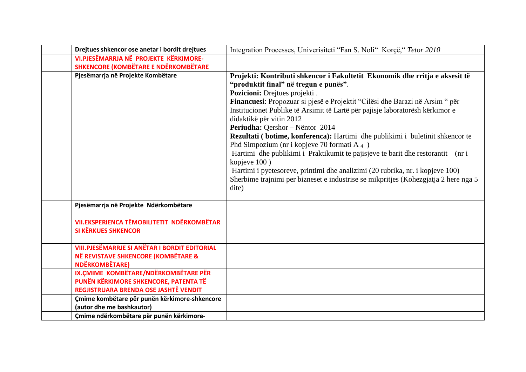| Drejtues shkencor ose anetar i bordit drejtues                             | Integration Processes, Univerisiteti "Fan S. Noli" Korçë, "Tetor 2010               |
|----------------------------------------------------------------------------|-------------------------------------------------------------------------------------|
| VI.PJESËMARRJA NË PROJEKTE KËRKIMORE-                                      |                                                                                     |
| <b>SHKENCORE (KOMBËTARE E NDËRKOMBËTARE</b>                                |                                                                                     |
| Pjesëmarrja në Projekte Kombëtare                                          | Projekti: Kontributi shkencor i Fakultetit Ekonomik dhe rritja e aksesit të         |
|                                                                            | "produktit final" në tregun e punës".                                               |
|                                                                            | Pozicioni: Drejtues projekti.                                                       |
|                                                                            | Financuesi: Propozuar si pjesë e Projektit "Cilësi dhe Barazi në Arsim " për        |
|                                                                            | Institucionet Publike të Arsimit të Lartë për pajisje laboratorësh kërkimor e       |
|                                                                            | didaktikë për vitin 2012                                                            |
|                                                                            | Periudha: Qershor - Nëntor 2014                                                     |
|                                                                            | Rezultati (botime, konferenca): Hartimi dhe publikimi i buletinit shkencor te       |
|                                                                            | Phd Simpozium (nr i kopjeve 70 formati $A_4$ )                                      |
|                                                                            | Hartimi dhe publikimi i Praktikumit te pajisjeve te barit dhe restorantit (nr i     |
|                                                                            | kopjeve 100)                                                                        |
|                                                                            | Hartimi i pyetesoreve, printimi dhe analizimi (20 rubrika, nr. i kopjeve 100)       |
|                                                                            | Sherbime trajnimi per bizneset e industrise se mikpritjes (Kohezgjatja 2 here nga 5 |
|                                                                            | dite)                                                                               |
|                                                                            |                                                                                     |
| Pjesëmarrja në Projekte Ndërkombëtare                                      |                                                                                     |
|                                                                            |                                                                                     |
| <b>VII.EKSPERIENCA TËMOBILITETIT NDËRKOMBËTAR</b>                          |                                                                                     |
| <b>SI KËRKUES SHKENCOR</b>                                                 |                                                                                     |
|                                                                            |                                                                                     |
| <b>VIII.PJESËMARRJE SI ANËTAR I BORDIT EDITORIAL</b>                       |                                                                                     |
| NË REVISTAVE SHKENCORE (KOMBËTARE &                                        |                                                                                     |
| <b>NDËRKOMBËTARE)</b>                                                      |                                                                                     |
| IX.ÇMIME KOMBËTARE/NDËRKOMBËTARE PËR                                       |                                                                                     |
| PUNËN KËRKIMORE SHKENCORE, PATENTA TË                                      |                                                                                     |
| REGJISTRUARA BRENDA OSE JASHTË VENDIT                                      |                                                                                     |
| Çmime kombëtare për punën kërkimore-shkencore<br>(autor dhe me bashkautor) |                                                                                     |
|                                                                            |                                                                                     |
| Çmime ndërkombëtare për punën kërkimore-                                   |                                                                                     |